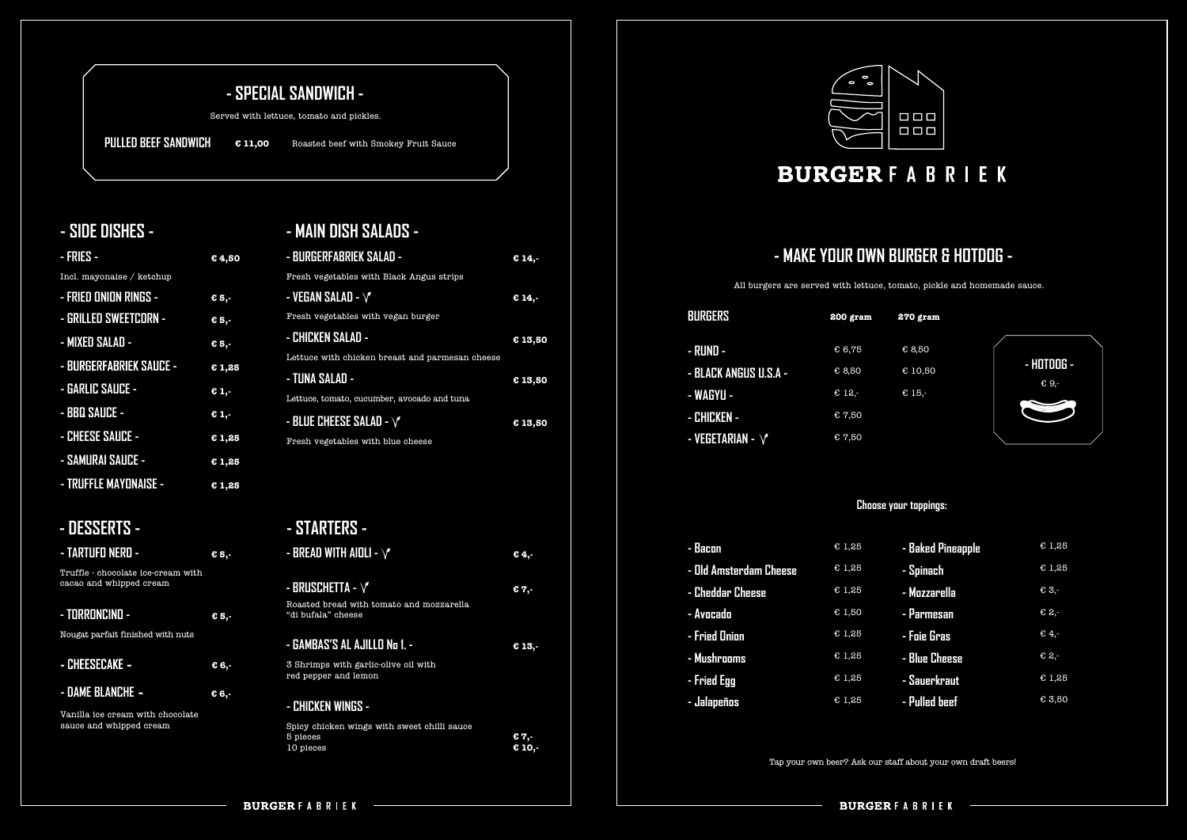# **- MAKE YOUR OWN BURGER & HOTDOG -**

# **- SPECIAL SANDWICH -**

## **- SIDE DISHES - - MAIN DISH SALADS -**

All burgers are served with lettuce, tomato, pickle and homemade sauce.

Served with lettuce, tomato and pickles.

**PULLED BEEF SANDWICH € 11,00** Roasted beef with Smokey Fruit Sauce



## **- DESSERTS -**

**- DAME BLANCHE -**

| <b>BURGERS</b>               | $200$ gram |
|------------------------------|------------|
| - RUND -                     | €6,75      |
| <b>- BLACK ANGUS U.S.A -</b> | € 8,50     |
| - WAGYU -                    | € 12,-     |
| - CHICKEN -                  | € 7,50     |
| - VEGETARIAN - $\sqrt{}$     | € 7,50     |

| - Bacon                | E1,25 |
|------------------------|-------|
| - Old Amsterdam Cheese | E1,25 |
| - Cheddar Cheese       | E1,25 |
| - Avocado              | E1,50 |
| - Fried Onion          | E1,25 |
| - Mushrooms            | E1,25 |
| - Fried Egg            | E1,25 |
| - Jalapeños            | E1,25 |
|                        |       |



| - Baked Pineapple | E1,25  |
|-------------------|--------|
| - Spinach         | E1,25  |
| - Mozzarella      | € 3,-  |
| - Parmesan        | € 2,-  |
| - Foie Gras       | € 4,-  |
| - Blue Cheese     | € 2,-  |
| - Sauerkraut      | E1,25  |
| - Pulled beef     | € 3,50 |

| - BURGERFABRIEK SALAD -                                        | 614.    |
|----------------------------------------------------------------|---------|
| Fresh vegetables with Black Angus strips                       |         |
| - VEGAN SALAD - $\sqrt{\ }$                                    | € 14,-  |
| Fresh vegetables with vegan burger                             |         |
| - CHICKEN SALAD -                                              | € 13,50 |
| Lettuce with chicken breast and parmesan cheese                |         |
| - TUNA SALAD -                                                 | € 13,50 |
| Lettuce, tomato, cucumber, avocado and tuna                    |         |
| - BLUE CHEESE SALAD - $\sqrt{\ }$                              | € 13,50 |
| Fresh vegetables with blue cheese                              |         |
|                                                                |         |
|                                                                |         |
|                                                                |         |
| - STARTERS -                                                   |         |
| - BREAD WITH AIDLI - $\sqrt{\ }$                               | €4,-    |
|                                                                |         |
| - BRUSCHETTA - $\sqrt{}$                                       | € 7,-   |
| Roasted bread with tomato and mozzarella<br>"di bufala" cheese |         |
| - GAMBAS'S AL AJILLO No 1. -                                   |         |
|                                                                |         |
|                                                                | € 13,-  |
| 3 Shrimps with garlic-olive oil with<br>red pepper and lemon   |         |
|                                                                |         |
| - CHICKEN WINGS -                                              |         |
| Spicy chicken wings with sweet chilli sauce<br>5 pieces        | € 7,-   |



# **BURGERFABRIEK**

| - FRIES -                      | €4,50   |
|--------------------------------|---------|
| Incl. mayonaise / ketchup      |         |
| - FRIED ONION RINGS -          | € 5,-   |
| - GRILLED SWEETCORN -          | € 5,-   |
| - MIXED SALAD -                | € 5,-   |
| <b>- BURGERFABRIEK SAUCE -</b> | C1,25   |
| - GARLIC SAUCE -               | € 1,-   |
| - BBQ SAUCE -                  | $C_1$ . |
| - CHEESE SAUCE -               | E1,25   |
| - SAMURAI SAUCE -              | C1,25   |
| <b>- TRUFFLE MAYONAISE -</b>   | E1,25   |

**€ 6,-** 

| - TARTUFO NERO -                                              | € 5.- |
|---------------------------------------------------------------|-------|
| Truffle - chocolate ice-cream with<br>cacao and whipped cream |       |
| <u>- TORRONCINO -</u><br>Nougat parfait finished with nuts    | € 5.- |
| - CHEESECAKE -                                                | € 6,- |

#### **270 gram**

- € 8,50
- € 10,50
- € 15,-

#### **Choose your toppings:**

Tap your own beer? Ask our staff about your own draft beers!

Vanilla ice cream with chocolate sauce and whipped cream